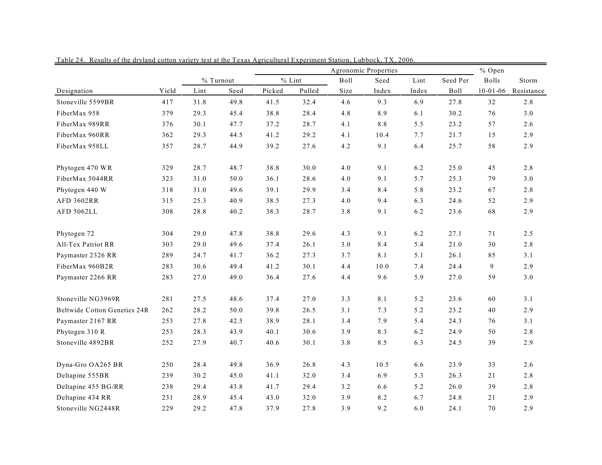|                                     |       |           |      |          |        |      | % Open |       |          |                |            |
|-------------------------------------|-------|-----------|------|----------|--------|------|--------|-------|----------|----------------|------------|
|                                     |       | % Turnout |      | $%$ Lint |        | Boll | Seed   | Lint  | Seed Per | <b>Bolls</b>   | Storm      |
| Designation                         | Yield | Lint      | Seed | Picked   | Pulled | Size | Index  | Index | Boll     | $10 - 01 - 06$ | Resistance |
| Stoneville 5599BR                   | 417   | 31.8      | 49.8 | 41.5     | 32.4   | 4.6  | 9.3    | 6.9   | 27.8     | 32             | 2.8        |
| FiberMax 958                        | 379   | 29.3      | 45.4 | 38.8     | 28.4   | 4.8  | 8.9    | 6.1   | 30.2     | 76             | 3.0        |
| FiberMax 989RR                      | 376   | 30.1      | 47.7 | 37.2     | 28.7   | 4.1  | 8.8    | 5.5   | 23.2     | 57             | 2.6        |
| FiberMax 960RR                      | 362   | 29.3      | 44.5 | 41.2     | 29.2   | 4.1  | 10.4   | 7.7   | 21.7     | 15             | 2.9        |
| FiberMax 958LL                      | 357   | 28.7      | 44.9 | 39.2     | 27.6   | 4.2  | 9.1    | 6.4   | 25.7     | 58             | 2.9        |
| Phytogen 470 WR                     | 329   | 28.7      | 48.7 | 38.8     | 30.0   | 4.0  | 9.1    | 6.2   | 25.0     | 45             | 2.8        |
| FiberMax 5044RR                     | 323   | 31.0      | 50.0 | 36.1     | 28.6   | 4.0  | 9.1    | 5.7   | 25.3     | 79             | 3.0        |
| Phytogen 440 W                      | 318   | 31.0      | 49.6 | 39.1     | 29.9   | 3.4  | 8.4    | 5.8   | 23.2     | 67             | 2.8        |
| <b>AFD 3602RR</b>                   | 315   | 25.3      | 40.9 | 38.5     | 27.3   | 4.0  | 9.4    | 6.3   | 24.6     | 52             | 2.9        |
| AFD 5062LL                          | 308   | 28.8      | 40.2 | 38.3     | 28.7   | 3.8  | 9.1    | 6.2   | 23.6     | 68             | 2.9        |
| Phytogen 72                         | 304   | 29.0      | 47.8 | 38.8     | 29.6   | 4.3  | 9.1    | 6.2   | 27.1     | 71             | 2.5        |
| All-Tex Patriot RR                  | 303   | 29.0      | 49.6 | 37.4     | 26.1   | 3.0  | 8.4    | 5.4   | 21.0     | 30             | 2.8        |
| Paymaster 2326 RR                   | 289   | 24.7      | 41.7 | 36.2     | 27.3   | 3.7  | 8.1    | 5.1   | 26.1     | 85             | 3.1        |
| FiberMax 960B2R                     | 283   | 30.6      | 49.4 | 41.2     | 30.1   | 4.4  | $10.0$ | 7.4   | 24.4     | 9              | 2.9        |
| Paymaster 2266 RR                   | 283   | 27.0      | 49.0 | 36.4     | 27.6   | 4.4  | 9.6    | 5.9   | 27.0     | 59             | 3.0        |
| Stoneville NG3969R                  | 281   | 27.5      | 48.6 | 37.4     | 27.0   | 3.3  | 8.1    | 5.2   | 23.6     | 60             | 3.1        |
| <b>Beltwide Cotton Genetics 24R</b> | 262   | 28.2      | 50.0 | 39.8     | 26.5   | 3.1  | 7.3    | 5.2   | 23.2     | 40             | 2.9        |
| Paymaster 2167 RR                   | 253   | 27.8      | 42.5 | 38.9     | 28.1   | 3.4  | 7.9    | 5.4   | 24.3     | 76             | 3.1        |
| Phytogen 310 R                      | 253   | 28.3      | 43.9 | 40.1     | 30.6   | 3.9  | 8.3    | 6.2   | 24.9     | 50             | 2.8        |
| Stoneville 4892BR                   | 252   | 27.9      | 40.7 | 40.6     | 30.1   | 3.8  | 8.5    | 6.3   | 24.5     | 39             | 2.9        |
| Dyna-Gro OA265 BR                   | 250   | 28.4      | 49.8 | 36.9     | 26.8   | 4.3  | 10.5   | 6.6   | 23.9     | 33             | 2.6        |
| Deltapine 555BR                     | 239   | 30.2      | 45.0 | 41.1     | 32.0   | 3.4  | 6.9    | 5.3   | 26.3     | 21             | 2.8        |
| Deltapine 455 BG/RR                 | 238   | 29.4      | 43.8 | 41.7     | 29.4   | 3.2  | 6.6    | 5.2   | 26.0     | 39             | 2.8        |
| Deltapine 434 RR                    | 231   | 28.9      | 45.4 | 43.0     | 32.0   | 3.9  | 8.2    | 6.7   | 24.8     | 21             | 2.9        |
| Stoneville NG2448R                  | 229   | 29.2      | 47.8 | 37.9     | 27.8   | 3.9  | 9.2    | 6.0   | 24.1     | 70             | 2.9        |

Table 24. Results of the dryland cotton variety test at the Texas Agricultural Experiment Station, Lubbock, TX, 2006.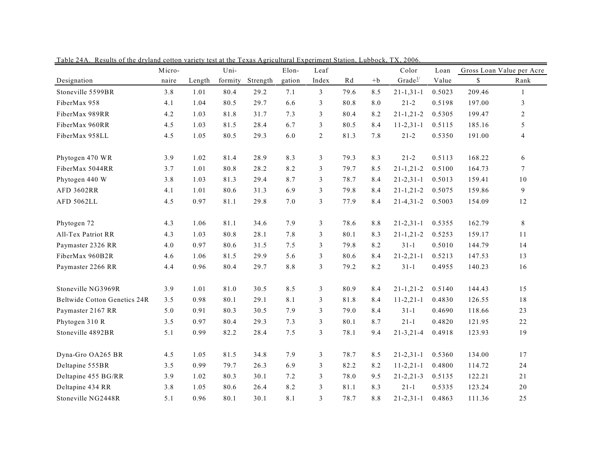|                                     | Micro- |        | Uni-    |          | Elon-  | Leaf           |      |      | Color               | Loan   |        | Gross Loan Value per Acre |
|-------------------------------------|--------|--------|---------|----------|--------|----------------|------|------|---------------------|--------|--------|---------------------------|
| Designation                         | naire  | Length | formity | Strength | gation | Index          | Rd   | $+b$ | Grade $\frac{1}{2}$ | Value  | \$     | Rank                      |
| Stoneville 5599BR                   | 3.8    | 1.01   | 80.4    | 29.2     | 7.1    | 3              | 79.6 | 8.5  | $21 - 1, 31 - 1$    | 0.5023 | 209.46 | $\mathbf{1}$              |
| FiberMax 958                        | 4.1    | 1.04   | 80.5    | 29.7     | 6.6    | 3              | 80.8 | 8.0  | $21 - 2$            | 0.5198 | 197.00 | $\mathfrak{Z}$            |
| FiberMax 989RR                      | 4.2    | 1.03   | 81.8    | 31.7     | 7.3    | 3              | 80.4 | 8.2  | $21 - 1, 21 - 2$    | 0.5305 | 199.47 | $\overline{2}$            |
| FiberMax 960RR                      | 4.5    | 1.03   | 81.5    | 28.4     | 6.7    | 3              | 80.5 | 8.4  | $11 - 2, 31 - 1$    | 0.5115 | 185.16 | 5                         |
| FiberMax 958LL                      | 4.5    | 1.05   | 80.5    | 29.3     | 6.0    | $\overline{c}$ | 81.3 | 7.8  | $21 - 2$            | 0.5350 | 191.00 | $\overline{4}$            |
| Phytogen 470 WR                     | 3.9    | 1.02   | 81.4    | 28.9     | 8.3    | 3              | 79.3 | 8.3  | $21 - 2$            | 0.5113 | 168.22 | 6                         |
| FiberMax 5044RR                     | 3.7    | 1.01   | 80.8    | 28.2     | 8.2    | 3              | 79.7 | 8.5  | $21 - 1, 21 - 2$    | 0.5100 | 164.73 | $\tau$                    |
| Phytogen 440 W                      | 3.8    | 1.03   | 81.3    | 29.4     | 8.7    | 3              | 78.7 | 8.4  | $21 - 2, 31 - 1$    | 0.5013 | 159.41 | 10                        |
| <b>AFD 3602RR</b>                   | 4.1    | 1.01   | 80.6    | 31.3     | 6.9    | 3              | 79.8 | 8.4  | $21 - 1, 21 - 2$    | 0.5075 | 159.86 | $\overline{9}$            |
| AFD 5062LL                          | 4.5    | 0.97   | 81.1    | 29.8     | 7.0    | 3              | 77.9 | 8.4  | $21 - 4, 31 - 2$    | 0.5003 | 154.09 | 12                        |
| Phytogen 72                         | 4.3    | 1.06   | 81.1    | 34.6     | 7.9    | 3              | 78.6 | 8.8  | $21 - 2, 31 - 1$    | 0.5355 | 162.79 | $8\,$                     |
| All-Tex Patriot RR                  | 4.3    | 1.03   | 80.8    | 28.1     | 7.8    | 3              | 80.1 | 8.3  | $21 - 1, 21 - 2$    | 0.5253 | 159.17 | 11                        |
| Paymaster 2326 RR                   | 4.0    | 0.97   | 80.6    | 31.5     | 7.5    | 3              | 79.8 | 8.2  | $31 - 1$            | 0.5010 | 144.79 | 14                        |
| FiberMax 960B2R                     | 4.6    | 1.06   | 81.5    | 29.9     | 5.6    | 3              | 80.6 | 8.4  | $21 - 2, 21 - 1$    | 0.5213 | 147.53 | 13                        |
| Paymaster 2266 RR                   | 4.4    | 0.96   | 80.4    | 29.7     | 8.8    | 3              | 79.2 | 8.2  | $31 - 1$            | 0.4955 | 140.23 | 16                        |
| Stoneville NG3969R                  | 3.9    | 1.01   | 81.0    | 30.5     | 8.5    | 3              | 80.9 | 8.4  | $21 - 1, 21 - 2$    | 0.5140 | 144.43 | 15                        |
| <b>Beltwide Cotton Genetics 24R</b> | 3.5    | 0.98   | 80.1    | 29.1     | 8.1    | 3              | 81.8 | 8.4  | $11 - 2, 21 - 1$    | 0.4830 | 126.55 | 18                        |
| Paymaster 2167 RR                   | 5.0    | 0.91   | 80.3    | 30.5     | 7.9    | 3              | 79.0 | 8.4  | $31-1$              | 0.4690 | 118.66 | 23                        |
| Phytogen 310 R                      | 3.5    | 0.97   | 80.4    | 29.3     | 7.3    | $\mathfrak{Z}$ | 80.1 | 8.7  | $21 - 1$            | 0.4820 | 121.95 | 22                        |
| Stoneville 4892BR                   | 5.1    | 0.99   | 82.2    | 28.4     | 7.5    | $\mathfrak{Z}$ | 78.1 | 9.4  | $21 - 3, 21 - 4$    | 0.4918 | 123.93 | 19                        |
| Dyna-Gro OA265 BR                   | 4.5    | 1.05   | 81.5    | 34.8     | 7.9    | $\mathfrak{Z}$ | 78.7 | 8.5  | $21 - 2, 31 - 1$    | 0.5360 | 134.00 | 17                        |
| Deltapine 555BR                     | 3.5    | 0.99   | 79.7    | 26.3     | 6.9    | 3              | 82.2 | 8.2  | $11 - 2, 21 - 1$    | 0.4800 | 114.72 | 24                        |
| Deltapine 455 BG/RR                 | 3.9    | 1.02   | 80.3    | 30.1     | 7.2    | 3              | 78.0 | 9.5  | $21 - 2, 21 - 3$    | 0.5135 | 122.21 | 21                        |
| Deltapine 434 RR                    | 3.8    | 1.05   | 80.6    | 26.4     | 8.2    | 3              | 81.1 | 8.3  | $21 - 1$            | 0.5335 | 123.24 | 20                        |
| Stoneville NG2448R                  | 5.1    | 0.96   | 80.1    | 30.1     | 8.1    | 3              | 78.7 | 8.8  | $21 - 2, 31 - 1$    | 0.4863 | 111.36 | 25                        |

Table 24A. Results of the dryland cotton variety test at the Texas Agricultural Experiment Station, Lubbock, TX, 2006.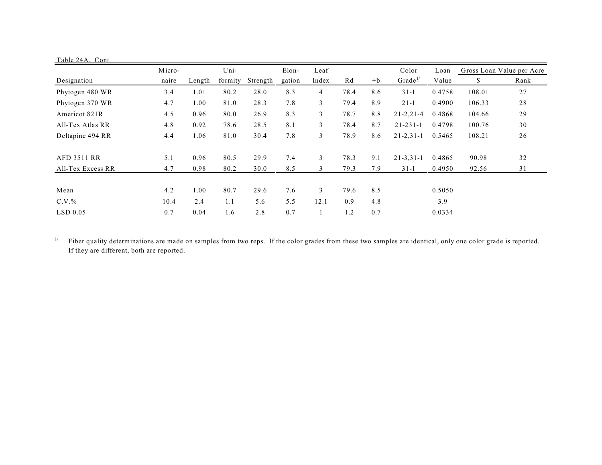| Table 24A. Cont.   |        |        |         |          |        |       |      |      |                     |        |                           |      |
|--------------------|--------|--------|---------|----------|--------|-------|------|------|---------------------|--------|---------------------------|------|
|                    | Micro- |        | Uni-    |          | Elon-  | Leaf  |      |      | Color               | Loan   | Gross Loan Value per Acre |      |
| Designation        | naire  | Length | formity | Strength | gation | Index | Rd   | $+b$ | Grade <sup>1/</sup> | Value  | \$                        | Rank |
| Phytogen 480 WR    | 3.4    | 1.01   | 80.2    | 28.0     | 8.3    | 4     | 78.4 | 8.6  | $31 - 1$            | 0.4758 | 108.01                    | 27   |
| Phytogen 370 WR    | 4.7    | 1.00   | 81.0    | 28.3     | 7.8    | 3     | 79.4 | 8.9  | $21 - 1$            | 0.4900 | 106.33                    | 28   |
| Americot 821R      | 4.5    | 0.96   | 80.0    | 26.9     | 8.3    | 3     | 78.7 | 8.8  | $21 - 2, 21 - 4$    | 0.4868 | 104.66                    | 29   |
| All-Tex Atlas RR   | 4.8    | 0.92   | 78.6    | 28.5     | 8.1    | 3     | 78.4 | 8.7  | $21 - 231 - 1$      | 0.4798 | 100.76                    | 30   |
| Deltapine 494 RR   | 4.4    | 1.06   | 81.0    | 30.4     | 7.8    | 3     | 78.9 | 8.6  | $21 - 2, 31 - 1$    | 0.5465 | 108.21                    | 26   |
| <b>AFD 3511 RR</b> | 5.1    | 0.96   | 80.5    | 29.9     | 7.4    | 3     | 78.3 | 9.1  | $21 - 3, 31 - 1$    | 0.4865 | 90.98                     | 32   |
| All-Tex Excess RR  | 4.7    | 0.98   | 80.2    | 30.0     | 8.5    | 3     | 79.3 | 7.9  | $31 - 1$            | 0.4950 | 92.56                     | 31   |
| Mean               | 4.2    | 1.00   | 80.7    | 29.6     | 7.6    | 3     | 79.6 | 8.5  |                     | 0.5050 |                           |      |
| $C.V.$ %           | 10.4   | 2.4    | 1.1     | 5.6      | 5.5    | 12.1  | 0.9  | 4.8  |                     | 3.9    |                           |      |
| $LSD$ 0.05         | 0.7    | 0.04   | 1.6     | 2.8      | 0.7    |       | 1.2  | 0.7  |                     | 0.0334 |                           |      |

 $\frac{1}{2}$  Fiber quality determinations are made on samples from two reps. If the color grades from these two samples are identical, only one color grade is reported. If they are different, both are reported.